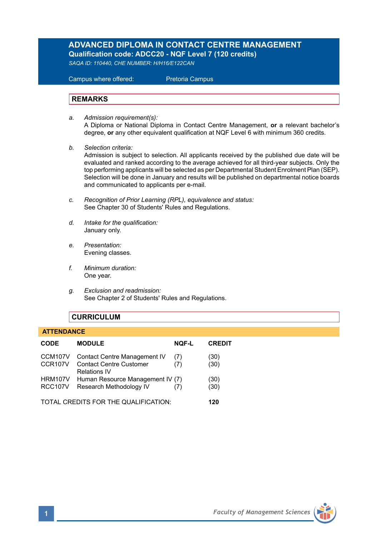# **ADVANCED DIPLOMA IN CONTACT CENTRE MANAGEMENT Qualification code: ADCC20 - NQF Level 7 (120 credits)**

*SAQA ID: 110440, CHE NUMBER: H/H16/E122CAN* 

 Campus where offered: Pretoria Campus

### **REMARKS**

- *a. Admission requirement(s):*  A Diploma or National Diploma in Contact Centre Management, **or** a relevant bachelor's degree, **or** any other equivalent qualification at NQF Level 6 with minimum 360 credits.
- *b. Selection criteria:* Admission is subject to selection. All applicants received by the published due date will be evaluated and ranked according to the average achieved for all third-year subjects. Only the top performing applicants will be selected as per Departmental Student Enrolment Plan (SEP). Selection will be done in January and results will be published on departmental notice boards and communicated to applicants per e-mail.
- *c. Recognition of Prior Learning (RPL), equivalence and status:* See Chapter 30 of Students' Rules and Regulations.
- *d. Intake for the qualification:* January only.
- *e. Presentation:* Evening classes.
- *f. Minimum duration:* One year.
- *g. Exclusion and readmission:* See Chapter 2 of Students' Rules and Regulations.

# **CURRICULUM**

 **ATTENDANCE**

|  | <b>CODE</b>                      | <b>MODULE</b>                                                                                | <b>NOF-L</b> | <b>CREDIT</b> |
|--|----------------------------------|----------------------------------------------------------------------------------------------|--------------|---------------|
|  | CCM107V<br>CCR107V               | <b>Contact Centre Management IV</b><br><b>Contact Centre Customer</b><br><b>Relations IV</b> | (7)<br>(7)   | (30)<br>(30)  |
|  | <b>HRM107V</b><br><b>RCC107V</b> | Human Resource Management IV (7)<br>Research Methodology IV                                  | (7)          | (30)<br>(30)  |
|  |                                  | TOTAL CREDITS FOR THE QUALIFICATION:                                                         |              | 120           |